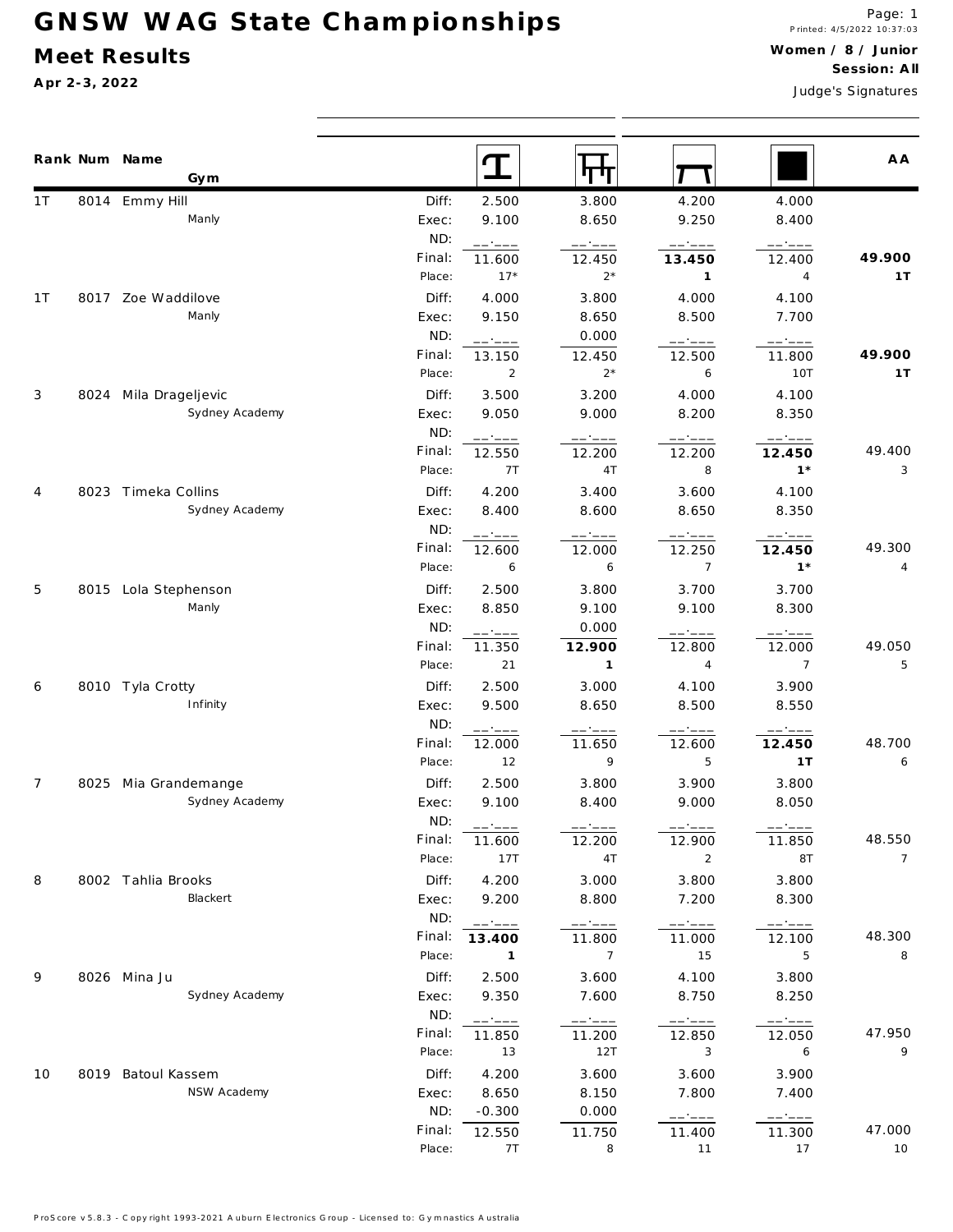## **G N S W W A G S ta te C h a m p io n sh ip s**

### **M eet Results**

**A pr 2-3, 2022**

Judge's S ignatures

|     | Rank Num Name<br>Gym  |        |                |                 |                       |                                                                                                                                                                                                                                                                                                                                                                                              | A A            |
|-----|-----------------------|--------|----------------|-----------------|-----------------------|----------------------------------------------------------------------------------------------------------------------------------------------------------------------------------------------------------------------------------------------------------------------------------------------------------------------------------------------------------------------------------------------|----------------|
| 1 T | 8014 Emmy Hill        | Diff:  | 2.500          | 3.800           | 4.200                 | 4.000                                                                                                                                                                                                                                                                                                                                                                                        |                |
|     | Manly                 | Exec:  | 9.100          | 8.650           | 9.250                 | 8.400                                                                                                                                                                                                                                                                                                                                                                                        |                |
|     |                       | ND:    | ------         | $-- - -$        | $---:---$             | $---:---$                                                                                                                                                                                                                                                                                                                                                                                    |                |
|     |                       | Final: | 11.600         | 12.450          | 13.450                | 12.400                                                                                                                                                                                                                                                                                                                                                                                       | 49.900         |
|     |                       | Place: | $17*$          | $2*$            | $\mathbf{1}$          | 4                                                                                                                                                                                                                                                                                                                                                                                            | 1T             |
| 1 T | 8017 Zoe Waddilove    | Diff:  | 4.000          | 3.800           | 4.000                 | 4.100                                                                                                                                                                                                                                                                                                                                                                                        |                |
|     | Manly                 | Exec:  | 9.150          | 8.650           | 8.500                 | 7.700                                                                                                                                                                                                                                                                                                                                                                                        |                |
|     |                       | ND:    | ------         | 0.000           | ------                | ------                                                                                                                                                                                                                                                                                                                                                                                       |                |
|     |                       | Final: | 13.150         | 12.450          | 12.500                | 11.800                                                                                                                                                                                                                                                                                                                                                                                       | 49.900         |
|     |                       | Place: | $\overline{2}$ | $2^*$           | 6                     | 10T                                                                                                                                                                                                                                                                                                                                                                                          | 1T             |
| 3   | 8024 Mila Drageljevic | Diff:  | 3.500          | 3.200           | 4.000                 | 4.100                                                                                                                                                                                                                                                                                                                                                                                        |                |
|     | Sydney Academy        | Exec:  | 9.050          | 9.000           | 8.200                 | 8.350                                                                                                                                                                                                                                                                                                                                                                                        |                |
|     |                       | ND:    | ------         | ------          | ------                |                                                                                                                                                                                                                                                                                                                                                                                              |                |
|     |                       | Final: | 12.550         | 12.200          | 12.200                | 12.450                                                                                                                                                                                                                                                                                                                                                                                       | 49.400         |
|     |                       | Place: | 7T             | 4T              | 8                     | $1*$                                                                                                                                                                                                                                                                                                                                                                                         | 3              |
| 4   | 8023 Timeka Collins   | Diff:  | 4.200          | 3.400           | 3.600                 | 4.100                                                                                                                                                                                                                                                                                                                                                                                        |                |
|     | Sydney Academy        | Exec:  | 8.400          | 8.600           | 8.650                 | 8.350                                                                                                                                                                                                                                                                                                                                                                                        |                |
|     |                       | ND:    | ------         | ------          | ------                |                                                                                                                                                                                                                                                                                                                                                                                              |                |
|     |                       | Final: | 12.600         | 12.000          | 12.250                | 12.450                                                                                                                                                                                                                                                                                                                                                                                       | 49.300         |
|     |                       | Place: | 6              | 6               | $\overline{7}$        | $1*$                                                                                                                                                                                                                                                                                                                                                                                         | 4              |
| 5   | 8015 Lola Stephenson  | Diff:  | 2.500          | 3.800           | 3.700                 | 3.700                                                                                                                                                                                                                                                                                                                                                                                        |                |
|     | Manly                 | Exec:  | 8.850          | 9.100           | 9.100                 | 8.300                                                                                                                                                                                                                                                                                                                                                                                        |                |
|     |                       | ND:    | ------         | 0.000           | ------                | ------                                                                                                                                                                                                                                                                                                                                                                                       |                |
|     |                       | Final: | 11.350         | 12.900          | 12.800                | 12.000                                                                                                                                                                                                                                                                                                                                                                                       | 49.050         |
|     |                       | Place: | 21             | $\mathbf{1}$    | $\overline{4}$        | $\overline{7}$                                                                                                                                                                                                                                                                                                                                                                               | 5              |
| 6   | 8010 Tyla Crotty      | Diff:  | 2.500          | 3.000           | 4.100                 | 3.900                                                                                                                                                                                                                                                                                                                                                                                        |                |
|     | Infinity              | Exec:  | 9.500          | 8.650           | 8.500                 | 8.550                                                                                                                                                                                                                                                                                                                                                                                        |                |
|     |                       | ND:    | ------         | ------          | ------                | $--- \cdot --- -$                                                                                                                                                                                                                                                                                                                                                                            |                |
|     |                       | Final: | 12.000         | 11.650          | 12.600                | 12.450                                                                                                                                                                                                                                                                                                                                                                                       | 48.700         |
|     |                       | Place: | 12             | 9               | 5                     | 1T                                                                                                                                                                                                                                                                                                                                                                                           | 6              |
| 7   | 8025 Mia Grandemange  | Diff:  | 2.500          | 3.800           | 3.900                 | 3.800                                                                                                                                                                                                                                                                                                                                                                                        |                |
|     | Sydney Academy        | Exec:  | 9.100          | 8.400           | 9.000                 | 8.050                                                                                                                                                                                                                                                                                                                                                                                        |                |
|     |                       | ND:    | ------         | ------          | ------                | $\frac{1}{2} \frac{1}{2} \frac{1}{2} \frac{1}{2} \frac{1}{2} \frac{1}{2} \frac{1}{2} \frac{1}{2} \frac{1}{2} \frac{1}{2} \frac{1}{2} \frac{1}{2} \frac{1}{2} \frac{1}{2} \frac{1}{2} \frac{1}{2} \frac{1}{2} \frac{1}{2} \frac{1}{2} \frac{1}{2} \frac{1}{2} \frac{1}{2} \frac{1}{2} \frac{1}{2} \frac{1}{2} \frac{1}{2} \frac{1}{2} \frac{1}{2} \frac{1}{2} \frac{1}{2} \frac{1}{2} \frac{$ |                |
|     |                       | Final: | 11.600         | 12.200          | 12.900                | 11.850                                                                                                                                                                                                                                                                                                                                                                                       | 48.550         |
|     |                       | Place: | 17T            | 4T              | $\overline{a}$        | 8T                                                                                                                                                                                                                                                                                                                                                                                           | $\overline{7}$ |
| 8   | 8002 Tahlia Brooks    | Diff:  | 4.200          | 3.000           | 3.800                 | 3.800                                                                                                                                                                                                                                                                                                                                                                                        |                |
|     | Blackert              | Exec:  | 9.200          | 8.800           | 7.200                 | 8.300                                                                                                                                                                                                                                                                                                                                                                                        |                |
|     |                       | ND:    | ------         | ------          | $---:---$             | ------                                                                                                                                                                                                                                                                                                                                                                                       |                |
|     |                       | Final: | 13.400         | 11.800          | 11.000                | 12.100                                                                                                                                                                                                                                                                                                                                                                                       | 48.300         |
|     |                       | Place: | $\sim$ 1       | $7\overline{ }$ | 15                    | 5                                                                                                                                                                                                                                                                                                                                                                                            | 8              |
| 9   | 8026 Mina Ju          | Diff:  | 2.500          | 3.600           | 4.100                 | 3.800                                                                                                                                                                                                                                                                                                                                                                                        |                |
|     | Sydney Academy        | Exec:  | 9.350          | 7.600           | 8.750                 | 8.250                                                                                                                                                                                                                                                                                                                                                                                        |                |
|     |                       | ND:    | ------         | $--- - - - -$   | $\qquad \qquad -- --$ | $----$                                                                                                                                                                                                                                                                                                                                                                                       |                |
|     |                       | Final: | 11.850         | 11.200          | 12.850                | 12.050                                                                                                                                                                                                                                                                                                                                                                                       | 47.950         |
|     |                       | Place: | 13             | 12T             | 3                     | 6                                                                                                                                                                                                                                                                                                                                                                                            | 9              |
| 10  | 8019 Batoul Kassem    | Diff:  | 4.200          | 3.600           | 3.600                 | 3.900                                                                                                                                                                                                                                                                                                                                                                                        |                |
|     | NSW Academy           | Exec:  | 8.650          | 8.150           | 7.800                 | 7.400                                                                                                                                                                                                                                                                                                                                                                                        |                |
|     |                       | ND:    | $-0.300$       | 0.000           | ------                | ------                                                                                                                                                                                                                                                                                                                                                                                       |                |
|     |                       | Final: | 12.550         | 11.750          | 11.400                | 11.300                                                                                                                                                                                                                                                                                                                                                                                       | 47.000         |
|     |                       | Place: | 7T             | 8               | 11                    | 17                                                                                                                                                                                                                                                                                                                                                                                           | 10             |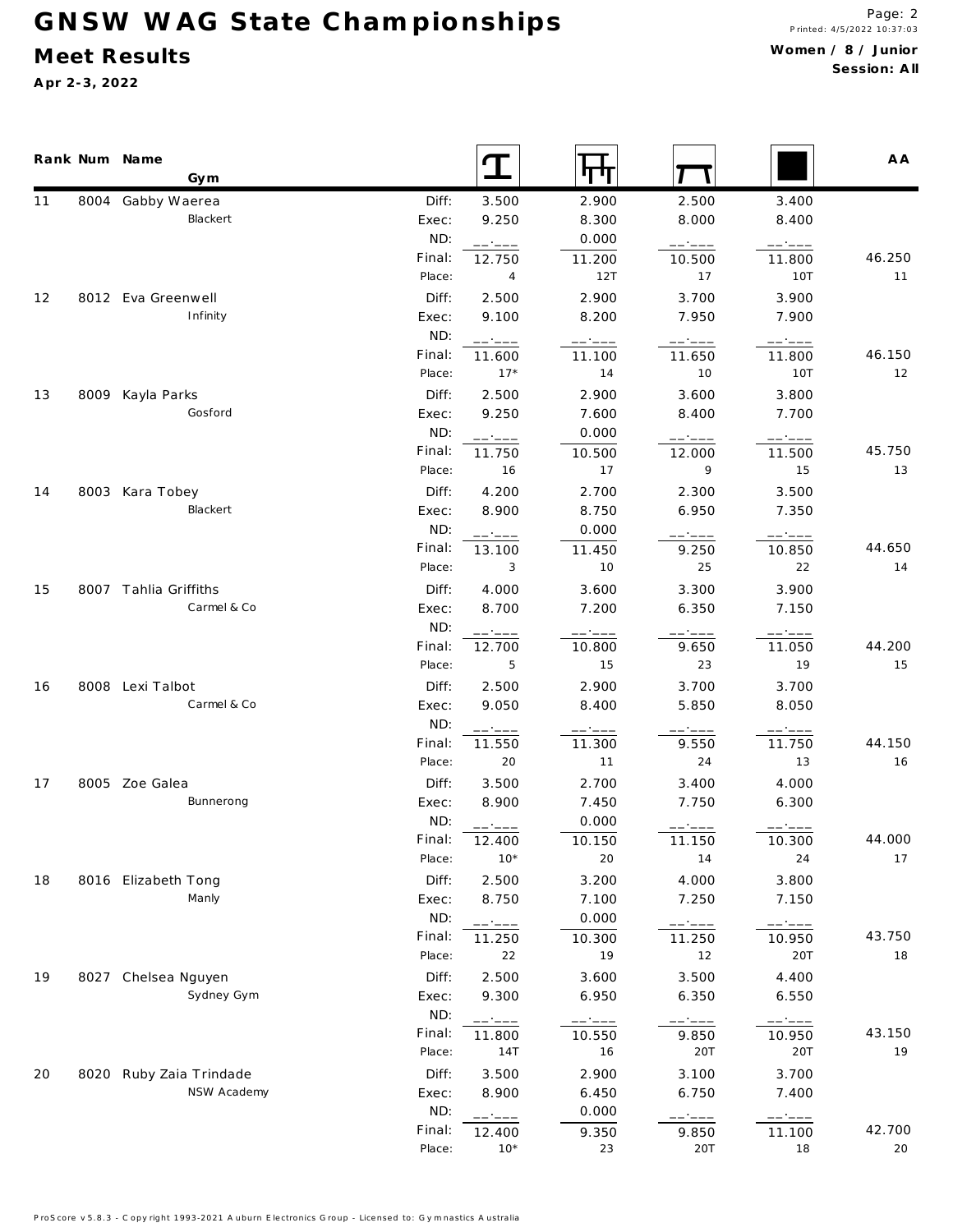# GNSW WAG State Championships

### **M eet Results**

**A pr 2-3, 2022**

|    | Rank Num Name<br>Gym    |        | T                                                                                                                                                                                                                                                                                                                                                                                                                                                                                            |        |          |                       | A A    |
|----|-------------------------|--------|----------------------------------------------------------------------------------------------------------------------------------------------------------------------------------------------------------------------------------------------------------------------------------------------------------------------------------------------------------------------------------------------------------------------------------------------------------------------------------------------|--------|----------|-----------------------|--------|
| 11 | 8004 Gabby Waerea       | Diff:  | 3.500                                                                                                                                                                                                                                                                                                                                                                                                                                                                                        | 2.900  | 2.500    | 3.400                 |        |
|    | Blackert                | Exec:  | 9.250                                                                                                                                                                                                                                                                                                                                                                                                                                                                                        | 8.300  | 8.000    | 8.400                 |        |
|    |                         | ND:    | ------                                                                                                                                                                                                                                                                                                                                                                                                                                                                                       | 0.000  | ------   | ------                |        |
|    |                         | Final: | 12.750                                                                                                                                                                                                                                                                                                                                                                                                                                                                                       | 11.200 | 10.500   | 11.800                | 46.250 |
|    |                         | Place: | 4                                                                                                                                                                                                                                                                                                                                                                                                                                                                                            | 12T    | 17       | 10T                   | 11     |
| 12 | 8012 Eva Greenwell      | Diff:  | 2.500                                                                                                                                                                                                                                                                                                                                                                                                                                                                                        | 2.900  | 3.700    | 3.900                 |        |
|    | Infinity                | Exec:  | 9.100                                                                                                                                                                                                                                                                                                                                                                                                                                                                                        | 8.200  | 7.950    | 7.900                 |        |
|    |                         | ND:    | $\begin{tabular}{ll} \multicolumn{2}{c} {\textbf{1}} & \multicolumn{2}{c} {\textbf{2}} & \multicolumn{2}{c} {\textbf{3}} & \multicolumn{2}{c} {\textbf{4}} & \multicolumn{2}{c} {\textbf{5}} & \multicolumn{2}{c} {\textbf{6}} & \multicolumn{2}{c} {\textbf{7}} & \multicolumn{2}{c} {\textbf{8}} & \multicolumn{2}{c} {\textbf{9}} & \multicolumn{2}{c} {\textbf{1}} & \multicolumn{2}{c} {\textbf{1}} & \multicolumn{2}{c} {\textbf{1}} & \multicolumn{2}{c} {\textbf{1}} & \multicolumn$ | ------ | ------   | ------                |        |
|    |                         | Final: | 11.600                                                                                                                                                                                                                                                                                                                                                                                                                                                                                       | 11.100 | 11.650   | 11.800                | 46.150 |
|    |                         | Place: | $17*$                                                                                                                                                                                                                                                                                                                                                                                                                                                                                        | 14     | 10       | 10T                   | 12     |
| 13 | 8009 Kayla Parks        | Diff:  | 2.500                                                                                                                                                                                                                                                                                                                                                                                                                                                                                        | 2.900  | 3.600    | 3.800                 |        |
|    | Gosford                 | Exec:  | 9.250                                                                                                                                                                                                                                                                                                                                                                                                                                                                                        | 7.600  | 8.400    | 7.700                 |        |
|    |                         | ND:    | $----$                                                                                                                                                                                                                                                                                                                                                                                                                                                                                       | 0.000  | ------   | ------                |        |
|    |                         | Final: | 11.750                                                                                                                                                                                                                                                                                                                                                                                                                                                                                       | 10.500 | 12.000   | 11.500                | 45.750 |
|    |                         | Place: | 16                                                                                                                                                                                                                                                                                                                                                                                                                                                                                           | 17     | 9        | 15                    | 13     |
| 14 | 8003 Kara Tobey         | Diff:  | 4.200                                                                                                                                                                                                                                                                                                                                                                                                                                                                                        | 2.700  | 2.300    | 3.500                 |        |
|    | Blackert                | Exec:  | 8.900                                                                                                                                                                                                                                                                                                                                                                                                                                                                                        | 8.750  | 6.950    | 7.350                 |        |
|    |                         | ND:    | ------                                                                                                                                                                                                                                                                                                                                                                                                                                                                                       | 0.000  | $-- - -$ | ------                |        |
|    |                         | Final: | 13.100                                                                                                                                                                                                                                                                                                                                                                                                                                                                                       | 11.450 | 9.250    | 10.850                | 44.650 |
|    |                         | Place: | 3                                                                                                                                                                                                                                                                                                                                                                                                                                                                                            | 10     | 25       | 22                    | 14     |
| 15 | 8007 Tahlia Griffiths   | Diff:  | 4.000                                                                                                                                                                                                                                                                                                                                                                                                                                                                                        | 3.600  | 3.300    | 3.900                 |        |
|    | Carmel & Co             | Exec:  | 8.700                                                                                                                                                                                                                                                                                                                                                                                                                                                                                        | 7.200  | 6.350    | 7.150                 |        |
|    |                         | ND:    | - - - - -                                                                                                                                                                                                                                                                                                                                                                                                                                                                                    |        | — •———   |                       |        |
|    |                         | Final: | 12.700                                                                                                                                                                                                                                                                                                                                                                                                                                                                                       | 10.800 | 9.650    | 11.050                | 44.200 |
|    |                         | Place: | 5                                                                                                                                                                                                                                                                                                                                                                                                                                                                                            | 15     | 23       | 19                    | 15     |
| 16 | 8008 Lexi Talbot        | Diff:  | 2.500                                                                                                                                                                                                                                                                                                                                                                                                                                                                                        | 2.900  | 3.700    | 3.700                 |        |
|    | Carmel & Co             | Exec:  | 9.050                                                                                                                                                                                                                                                                                                                                                                                                                                                                                        | 8.400  | 5.850    | 8.050                 |        |
|    |                         | ND:    | ------                                                                                                                                                                                                                                                                                                                                                                                                                                                                                       |        |          | ------                |        |
|    |                         | Final: | 11.550                                                                                                                                                                                                                                                                                                                                                                                                                                                                                       | 11.300 | 9.550    | 11.750                | 44.150 |
|    |                         | Place: | 20                                                                                                                                                                                                                                                                                                                                                                                                                                                                                           | 11     | $2\,4$   | 13                    | 16     |
| 17 | 8005 Zoe Galea          | Diff:  | 3.500                                                                                                                                                                                                                                                                                                                                                                                                                                                                                        | 2.700  | 3.400    | 4.000                 |        |
|    | Bunnerong               | Exec:  | 8.900                                                                                                                                                                                                                                                                                                                                                                                                                                                                                        | 7.450  | 7.750    | 6.300                 |        |
|    |                         | ND:    | $- - - - - -$                                                                                                                                                                                                                                                                                                                                                                                                                                                                                | 0.000  | -- ----  |                       |        |
|    |                         | Final: | 12.400                                                                                                                                                                                                                                                                                                                                                                                                                                                                                       | 10.150 | 11.150   | 10.300                | 44.000 |
|    |                         | Place: | $10*$                                                                                                                                                                                                                                                                                                                                                                                                                                                                                        | 20     | 14       | 24                    | 17     |
| 18 | 8016 Elizabeth Tong     | Diff:  | 2.500                                                                                                                                                                                                                                                                                                                                                                                                                                                                                        | 3.200  | 4.000    | 3.800                 |        |
|    | Manly                   | Exec:  | 8.750                                                                                                                                                                                                                                                                                                                                                                                                                                                                                        | 7.100  | 7.250    | 7.150                 |        |
|    |                         | ND:    | ------                                                                                                                                                                                                                                                                                                                                                                                                                                                                                       | 0.000  | ------   | -----                 |        |
|    |                         | Final: | 11.250                                                                                                                                                                                                                                                                                                                                                                                                                                                                                       | 10.300 | 11.250   | 10.950                | 43.750 |
|    |                         | Place: | 22                                                                                                                                                                                                                                                                                                                                                                                                                                                                                           | 19     | 12       | 20T                   | 18     |
| 19 | 8027 Chelsea Nguyen     | Diff:  | 2.500                                                                                                                                                                                                                                                                                                                                                                                                                                                                                        | 3.600  | 3.500    | 4.400                 |        |
|    | Sydney Gym              | Exec:  | 9.300                                                                                                                                                                                                                                                                                                                                                                                                                                                                                        | 6.950  | 6.350    | 6.550                 |        |
|    |                         | ND:    | ------                                                                                                                                                                                                                                                                                                                                                                                                                                                                                       | —————  | ------   | $\qquad \qquad -- --$ |        |
|    |                         | Final: | 11.800                                                                                                                                                                                                                                                                                                                                                                                                                                                                                       | 10.550 | 9.850    | 10.950                | 43.150 |
|    |                         | Place: | 14T                                                                                                                                                                                                                                                                                                                                                                                                                                                                                          | 16     | 20T      | 20T                   | 19     |
| 20 | 8020 Ruby Zaia Trindade | Diff:  | 3.500                                                                                                                                                                                                                                                                                                                                                                                                                                                                                        | 2.900  | 3.100    | 3.700                 |        |
|    | NSW Academy             | Exec:  | 8.900                                                                                                                                                                                                                                                                                                                                                                                                                                                                                        | 6.450  | 6.750    | 7.400                 |        |
|    |                         | ND:    | ------                                                                                                                                                                                                                                                                                                                                                                                                                                                                                       | 0.000  | ------   | ------                |        |
|    |                         | Final: | 12.400                                                                                                                                                                                                                                                                                                                                                                                                                                                                                       | 9.350  | 9.850    | 11.100                | 42.700 |
|    |                         | Place: | $10*$                                                                                                                                                                                                                                                                                                                                                                                                                                                                                        | 23     | 20T      | 18                    | 20     |